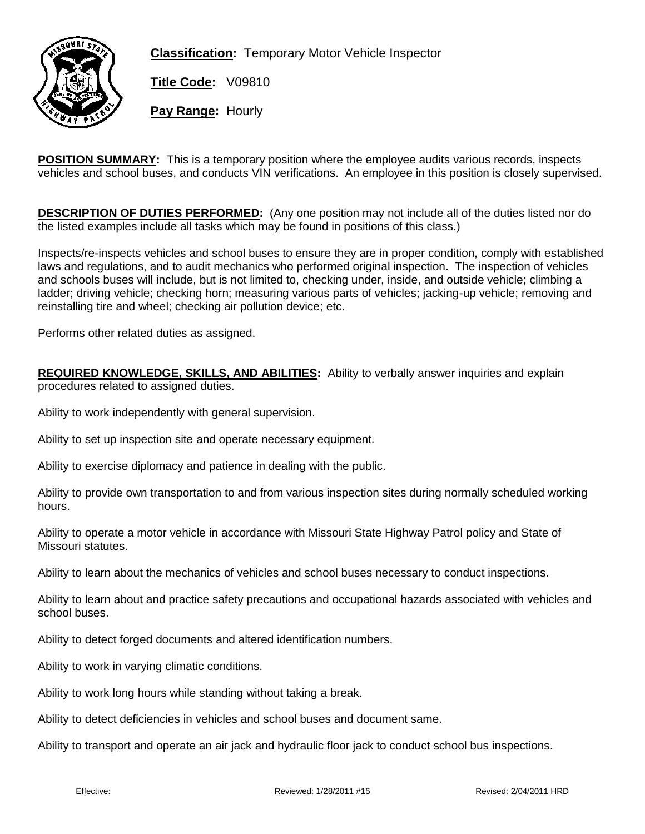

**Classification:** Temporary Motor Vehicle Inspector

**Title Code:** V09810

**Pay Range:** Hourly

**POSITION SUMMARY:** This is a temporary position where the employee audits various records, inspects vehicles and school buses, and conducts VIN verifications. An employee in this position is closely supervised.

**DESCRIPTION OF DUTIES PERFORMED:** (Any one position may not include all of the duties listed nor do the listed examples include all tasks which may be found in positions of this class.)

Inspects/re-inspects vehicles and school buses to ensure they are in proper condition, comply with established laws and regulations, and to audit mechanics who performed original inspection. The inspection of vehicles and schools buses will include, but is not limited to, checking under, inside, and outside vehicle; climbing a ladder; driving vehicle; checking horn; measuring various parts of vehicles; jacking-up vehicle; removing and reinstalling tire and wheel; checking air pollution device; etc.

Performs other related duties as assigned.

**REQUIRED KNOWLEDGE, SKILLS, AND ABILITIES:** Ability to verbally answer inquiries and explain procedures related to assigned duties.

Ability to work independently with general supervision.

Ability to set up inspection site and operate necessary equipment.

Ability to exercise diplomacy and patience in dealing with the public.

Ability to provide own transportation to and from various inspection sites during normally scheduled working hours.

Ability to operate a motor vehicle in accordance with Missouri State Highway Patrol policy and State of Missouri statutes.

Ability to learn about the mechanics of vehicles and school buses necessary to conduct inspections.

Ability to learn about and practice safety precautions and occupational hazards associated with vehicles and school buses.

Ability to detect forged documents and altered identification numbers.

Ability to work in varying climatic conditions.

Ability to work long hours while standing without taking a break.

Ability to detect deficiencies in vehicles and school buses and document same.

Ability to transport and operate an air jack and hydraulic floor jack to conduct school bus inspections.